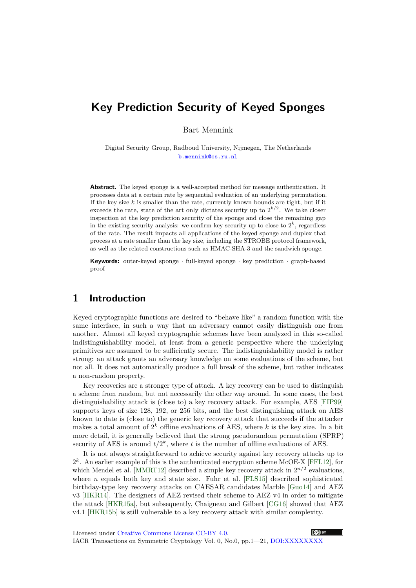# **Key Prediction Security of Keyed Sponges**

Bart Mennink

Digital Security Group, Radboud University, Nijmegen, The Netherlands [b.mennink@cs.ru.nl](mailto:b.mennink@cs.ru.nl)

**Abstract.** The keyed sponge is a well-accepted method for message authentication. It processes data at a certain rate by sequential evaluation of an underlying permutation. If the key size *k* is smaller than the rate, currently known bounds are tight, but if it exceeds the rate, state of the art only dictates security up to  $2^{k/2}$ . We take closer inspection at the key prediction security of the sponge and close the remaining gap in the existing security analysis: we confirm key security up to close to  $2^k$ , regardless of the rate. The result impacts all applications of the keyed sponge and duplex that process at a rate smaller than the key size, including the STROBE protocol framework, as well as the related constructions such as HMAC-SHA-3 and the sandwich sponge.

**Keywords:** outer-keyed sponge · full-keyed sponge · key prediction · graph-based proof

# **1 Introduction**

Keyed cryptographic functions are desired to "behave like" a random function with the same interface, in such a way that an adversary cannot easily distinguish one from another. Almost all keyed cryptographic schemes have been analyzed in this so-called indistinguishability model, at least from a generic perspective where the underlying primitives are assumed to be sufficiently secure. The indistinguishability model is rather strong: an attack grants an adversary knowledge on some evaluations of the scheme, but not all. It does not automatically produce a full break of the scheme, but rather indicates a non-random property.

Key recoveries are a stronger type of attack. A key recovery can be used to distinguish a scheme from random, but not necessarily the other way around. In some cases, the best distinguishability attack is (close to) a key recovery attack. For example, AES [\[FIP99\]](#page-19-0) supports keys of size 128, 192, or 256 bits, and the best distinguishing attack on AES known to date is (close to) the generic key recovery attack that succeeds if the attacker makes a total amount of  $2^k$  offline evaluations of AES, where  $k$  is the key size. In a bit more detail, it is generally believed that the strong pseudorandom permutation (SPRP) security of AES is around  $t/2^k$ , where *t* is the number of offline evaluations of AES.

It is not always straightforward to achieve security against key recovery attacks up to  $2<sup>k</sup>$ . An earlier example of this is the authenticated encryption scheme McOE-X [\[FFL12\]](#page-19-1), for which Mendel et al. [\[MMRT12\]](#page-20-0) described a simple key recovery attack in  $2^{n/2}$  evaluations, where  $n$  equals both key and state size. Fuhr et al.  $[FLS15]$  described sophisticated birthday-type key recovery attacks on CAESAR candidates Marble [\[Guo14\]](#page-20-1) and AEZ v3 [\[HKR14\]](#page-20-2). The designers of AEZ revised their scheme to AEZ v4 in order to mitigate the attack [\[HKR15a\]](#page-20-3), but subsequently, Chaigneau and Gilbert [\[CG16\]](#page-19-3) showed that AEZ v4.1 [\[HKR15b\]](#page-20-4) is still vulnerable to a key recovery attack with similar complexity.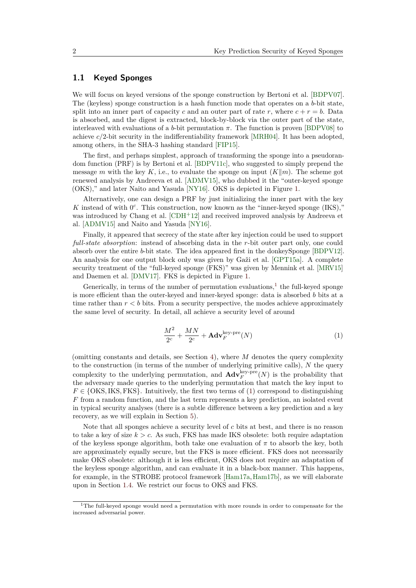### **1.1 Keyed Sponges**

We will focus on keyed versions of the sponge construction by Bertoni et al. [\[BDPV07\]](#page-18-0). The (keyless) sponge construction is a hash function mode that operates on a *b*-bit state, split into an inner part of capacity *c* and an outer part of rate *r*, where  $c + r = b$ . Data is absorbed, and the digest is extracted, block-by-block via the outer part of the state, interleaved with evaluations of a *b*-bit permutation  $\pi$ . The function is proven [\[BDPV08\]](#page-18-1) to achieve *c/*2-bit security in the indifferentiability framework [\[MRH04\]](#page-20-5). It has been adopted, among others, in the SHA-3 hashing standard [\[FIP15\]](#page-19-4).

The first, and perhaps simplest, approach of transforming the sponge into a pseudorandom function (PRF) is by Bertoni et al. [\[BDPV11c\]](#page-18-2), who suggested to simply prepend the message *m* with the key *K*, i.e., to evaluate the sponge on input  $(K||m)$ . The scheme got renewed analysis by Andreeva et al. [\[ADMV15\]](#page-18-3), who dubbed it the "outer-keyed sponge (OKS)," and later Naito and Yasuda [\[NY16\]](#page-20-6). OKS is depicted in Figure [1.](#page-6-0)

Alternatively, one can design a PRF by just initializing the inner part with the key K instead of with  $0^c$ . This construction, now known as the "inner-keyed sponge (IKS)," was introduced by Chang et al. [\[CDH](#page-19-5)+12] and received improved analysis by Andreeva et al. [\[ADMV15\]](#page-18-3) and Naito and Yasuda [\[NY16\]](#page-20-6).

Finally, it appeared that secrecy of the state after key injection could be used to support *full-state absorption*: instead of absorbing data in the *r*-bit outer part only, one could absorb over the entire *b*-bit state. The idea appeared first in the donkeySponge [\[BDPV12\]](#page-18-4). An analysis for one output block only was given by Gaži et al. [\[GPT15a\]](#page-19-6). A complete security treatment of the "full-keyed sponge (FKS)" was given by Mennink et al. [\[MRV15\]](#page-20-7) and Daemen et al. [\[DMV17\]](#page-19-7). FKS is depicted in Figure [1.](#page-6-0)

Generically, in terms of the number of permutation evaluations,<sup>[1](#page-1-0)</sup> the full-keyed sponge is more efficient than the outer-keyed and inner-keyed sponge: data is absorbed *b* bits at a time rather than  $r < b$  bits. From a security perspective, the modes achieve approximately the same level of security. In detail, all achieve a security level of around

<span id="page-1-1"></span>
$$
\frac{M^2}{2^c} + \frac{MN}{2^c} + \mathbf{Adv}_F^{\text{key-pre}}(N) \tag{1}
$$

(omitting constants and details, see Section [4\)](#page-15-0), where *M* denotes the query complexity to the construction (in terms of the number of underlying primitive calls), *N* the query complexity to the underlying permutation, and  $\mathbf{Adv}_{F}^{\text{key-pre}}(N)$  is the probability that the adversary made queries to the underlying permutation that match the key input to  $F \in \{OKS, IKS, FKS\}$ . Intuitively, the first two terms of [\(1\)](#page-1-1) correspond to distinguishing *F* from a random function, and the last term represents a key prediction, an isolated event in typical security analyses (there is a subtle difference between a key prediction and a key recovery, as we will explain in Section [5\)](#page-17-0).

Note that all sponges achieve a security level of *c* bits at best, and there is no reason to take a key of size *k > c*. As such, FKS has made IKS obsolete: both require adaptation of the keyless sponge algorithm, both take one evaluation of  $\pi$  to absorb the key, both are approximately equally secure, but the FKS is more efficient. FKS does not necessarily make OKS obsolete: although it is less efficient, OKS does not require an adaptation of the keyless sponge algorithm, and can evaluate it in a black-box manner. This happens, for example, in the STROBE protocol framework [\[Ham17a,](#page-20-8)[Ham17b\]](#page-20-9), as we will elaborate upon in Section [1.4.](#page-3-0) We restrict our focus to OKS and FKS.

<span id="page-1-0"></span> $1$ The full-keyed sponge would need a permutation with more rounds in order to compensate for the increased adversarial power.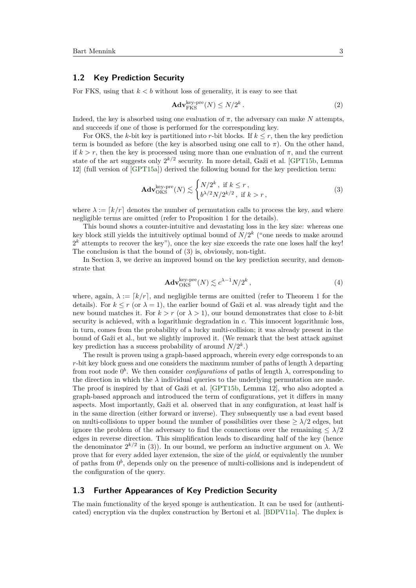#### **1.2 Key Prediction Security**

For FKS, using that  $k < b$  without loss of generality, it is easy to see that

<span id="page-2-2"></span><span id="page-2-0"></span>
$$
\mathbf{Adv}_{\mathrm{FKS}}^{\mathrm{key-pre}}(N) \le N/2^k.
$$
 (2)

Indeed, the key is absorbed using one evaluation of  $\pi$ , the adversary can make N attempts. and succeeds if one of those is performed for the corresponding key.

For OKS, the *k*-bit key is partitioned into *r*-bit blocks. If  $k \leq r$ , then the key prediction term is bounded as before (the key is absorbed using one call to  $\pi$ ). On the other hand, if  $k > r$ , then the key is processed using more than one evaluation of  $\pi$ , and the current state of the art suggests only 2 *k/*2 security. In more detail, Gaži et al. [\[GPT15b,](#page-19-8) Lemma 12] (full version of [\[GPT15a\]](#page-19-6)) derived the following bound for the key prediction term:

$$
\mathbf{Adv}_{\mathrm{OKS}}^{\mathrm{key-pre}}(N) \lesssim \begin{cases} N/2^k, \text{ if } k \le r, \\ b^{\lambda/2} N/2^{k/2}, \text{ if } k > r, \end{cases}
$$
 (3)

where  $\lambda := [k/r]$  denotes the number of permutation calls to process the key, and where negligible terms are omitted (refer to Proposition [1](#page-8-0) for the details).

This bound shows a counter-intuitive and devastating loss in the key size: whereas one key block still yields the intuitively optimal bound of *N/*2 *k* ("one needs to make around  $2<sup>k</sup>$  attempts to recover the key"), once the key size exceeds the rate one loses half the key! The conclusion is that the bound of [\(3\)](#page-2-0) is, obviously, non-tight.

In Section [3,](#page-7-0) we derive an improved bound on the key prediction security, and demonstrate that

<span id="page-2-1"></span>
$$
\mathbf{Adv}_{OKS}^{\text{key-pre}}(N) \lesssim c^{\lambda - 1} N / 2^k \,, \tag{4}
$$

where, again,  $\lambda := [k/r]$ , and negligible terms are omitted (refer to Theorem [1](#page-9-0) for the details). For  $k \le r$  (or  $\lambda = 1$ ), the earlier bound of Gaži et al. was already tight and the new bound matches it. For  $k > r$  (or  $\lambda > 1$ ), our bound demonstrates that close to k-bit security is achieved, with a logarithmic degradation in *c*. This innocent logarithmic loss, in turn, comes from the probability of a lucky multi-collision; it was already present in the bound of Gaži et al., but we slightly improved it. (We remark that the best attack against key prediction has a success probability of around  $N/2^k$ .)

The result is proven using a graph-based approach, wherein every edge corresponds to an *r*-bit key block guess and one considers the maximum number of paths of length  $\lambda$  departing from root node  $0^b$ . We then consider *configurations* of paths of length  $\lambda$ , corresponding to the direction in which the  $\lambda$  individual queries to the underlying permutation are made. The proof is inspired by that of Gaži et al. [\[GPT15b,](#page-19-8) Lemma 12], who also adopted a graph-based approach and introduced the term of configurations, yet it differs in many aspects. Most importantly, Gaži et al. observed that in any configuration, at least half is in the same direction (either forward or inverse). They subsequently use a bad event based on multi-collisions to upper bound the number of possibilities over these  $\geq \lambda/2$  edges, but ignore the problem of the adversary to find the connections over the remaining  $\leq \lambda/2$ edges in reverse direction. This simplification leads to discarding half of the key (hence the denominator  $2^{k/2}$  in [\(3\)](#page-2-0)). In our bound, we perform an inductive argument on  $\lambda$ . We prove that for every added layer extension, the size of the *yield*, or equivalently the number of paths from  $0^b$ , depends only on the presence of multi-collisions and is independent of the configuration of the query.

#### **1.3 Further Appearances of Key Prediction Security**

The main functionality of the keyed sponge is authentication. It can be used for (authenticated) encryption via the duplex construction by Bertoni et al. [\[BDPV11a\]](#page-18-5). The duplex is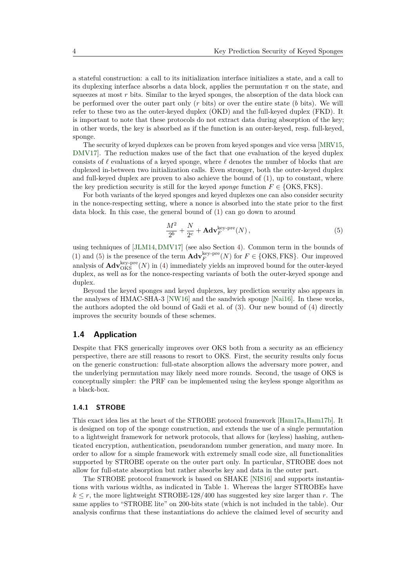a stateful construction: a call to its initialization interface initializes a state, and a call to its duplexing interface absorbs a data block, applies the permutation  $\pi$  on the state, and squeezes at most r bits. Similar to the keyed sponges, the absorption of the data block can be performed over the outer part only (*r* bits) or over the entire state (*b* bits). We will refer to these two as the outer-keyed duplex (OKD) and the full-keyed duplex (FKD). It is important to note that these protocols do not extract data during absorption of the key; in other words, the key is absorbed as if the function is an outer-keyed, resp. full-keyed, sponge.

The security of keyed duplexes can be proven from keyed sponges and vice versa [\[MRV15,](#page-20-7) [DMV17\]](#page-19-7). The reduction makes use of the fact that one evaluation of the keyed duplex consists of  $\ell$  evaluations of a keyed sponge, where  $\ell$  denotes the number of blocks that are duplexed in-between two initialization calls. Even stronger, both the outer-keyed duplex and full-keyed duplex are proven to also achieve the bound of  $(1)$ , up to constant, where the key prediction security is still for the keyed *sponge* function  $F \in \{OKS, FKS\}$ .

For both variants of the keyed sponges and keyed duplexes one can also consider security in the nonce-respecting setting, where a nonce is absorbed into the state prior to the first data block. In this case, the general bound of [\(1\)](#page-1-1) can go down to around

<span id="page-3-1"></span>
$$
\frac{M^2}{2^b} + \frac{N}{2^c} + \mathbf{Adv}_F^{\text{key-pre}}(N)\,,\tag{5}
$$

using techniques of [\[JLM14,](#page-20-10)[DMV17\]](#page-19-7) (see also Section [4\)](#page-15-0). Common term in the bounds of [\(1\)](#page-1-1) and [\(5\)](#page-3-1) is the presence of the term  $\mathbf{Adv}_{F}^{\text{key-pre}}(N)$  for  $F \in \{\text{OKS}, \text{FKS}\}\)$ . Our improved analysis of  $\mathbf{Adv}_{\mathrm{OKS}}^{\mathrm{key-pre}}(N)$  in [\(4\)](#page-2-1) immediately yields an improved bound for the outer-keyed duplex, as well as for the nonce-respecting variants of both the outer-keyed sponge and duplex.

Beyond the keyed sponges and keyed duplexes, key prediction security also appears in the analyses of HMAC-SHA-3 [\[NW16\]](#page-20-11) and the sandwich sponge [\[Nai16\]](#page-20-12). In these works, the authors adopted the old bound of Gaži et al. of [\(3\)](#page-2-0). Our new bound of [\(4\)](#page-2-1) directly improves the security bounds of these schemes.

#### <span id="page-3-0"></span>**1.4 Application**

Despite that FKS generically improves over OKS both from a security as an efficiency perspective, there are still reasons to resort to OKS. First, the security results only focus on the generic construction: full-state absorption allows the adversary more power, and the underlying permutation may likely need more rounds. Second, the usage of OKS is conceptually simpler: the PRF can be implemented using the keyless sponge algorithm as a black-box.

#### **1.4.1 STROBE**

This exact idea lies at the heart of the STROBE protocol framework [\[Ham17a,](#page-20-8)[Ham17b\]](#page-20-9). It is designed on top of the sponge construction, and extends the use of a single permutation to a lightweight framework for network protocols, that allows for (keyless) hashing, authenticated encryption, authentication, pseudorandom number generation, and many more. In order to allow for a simple framework with extremely small code size, all functionalities supported by STROBE operate on the outer part only. In particular, STROBE does not allow for full-state absorption but rather absorbs key and data in the outer part.

The STROBE protocol framework is based on SHAKE [\[NIS16\]](#page-20-13) and supports instantiations with various widths, as indicated in Table [1.](#page-4-0) Whereas the larger STROBEs have  $k \leq r$ , the more lightweight STROBE-128/400 has suggested key size larger than *r*. The same applies to "STROBE lite" on 200-bits state (which is not included in the table). Our analysis confirms that these instantiations do achieve the claimed level of security and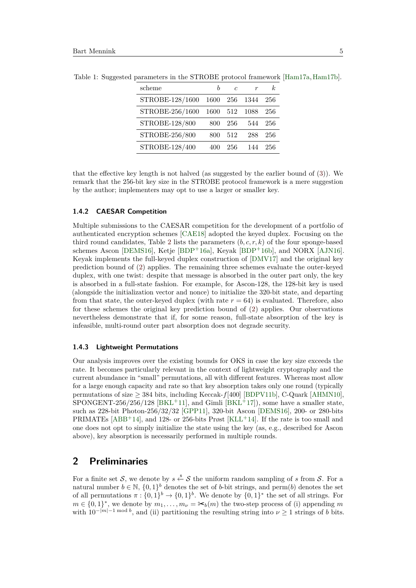| scheme          |      | c   |      | k.  |
|-----------------|------|-----|------|-----|
| STROBE-128/1600 | 1600 | 256 | 1344 | 256 |
| STROBE-256/1600 | 1600 | 512 | 1088 | 256 |
| STROBE-128/800  | 800  | 256 | 544  | 256 |
| STROBE-256/800  | 800  | 512 | 288  | 256 |
| STROBE-128/400  | 400  | 256 | 144  | 256 |

<span id="page-4-0"></span>Table 1: Suggested parameters in the STROBE protocol framework  $\vert$ Ham17a, Ham17b $\vert$ .

that the effective key length is not halved (as suggested by the earlier bound of [\(3\)](#page-2-0)). We remark that the 256-bit key size in the STROBE protocol framework is a mere suggestion by the author; implementers may opt to use a larger or smaller key.

#### **1.4.2 CAESAR Competition**

Multiple submissions to the CAESAR competition for the development of a portfolio of authenticated encryption schemes [\[CAE18\]](#page-19-9) adopted the keyed duplex. Focusing on the third round candidates, Table [2](#page-5-0) lists the parameters (*b, c, r, k*) of the four sponge-based schemes Ascon [\[DEMS16\]](#page-19-10), Ketje [\[BDP](#page-18-7)+16a], Keyak [BDP+16b], and NORX [\[AJN16\]](#page-18-8). Keyak implements the full-keyed duplex construction of [\[DMV17\]](#page-19-7) and the original key prediction bound of [\(2\)](#page-2-2) applies. The remaining three schemes evaluate the outer-keyed duplex, with one twist: despite that message is absorbed in the outer part only, the key is absorbed in a full-state fashion. For example, for Ascon-128, the 128-bit key is used (alongside the initialization vector and nonce) to initialize the 320-bit state, and departing from that state, the outer-keyed duplex (with rate  $r = 64$ ) is evaluated. Therefore, also for these schemes the original key prediction bound of [\(2\)](#page-2-2) applies. Our observations nevertheless demonstrate that if, for some reason, full-state absorption of the key is infeasible, multi-round outer part absorption does not degrade security.

#### **1.4.3 Lightweight Permutations**

Our analysis improves over the existing bounds for OKS in case the key size exceeds the rate. It becomes particularly relevant in the context of lightweight cryptography and the current abundance in "small" permutations, all with different features. Whereas most allow for a large enough capacity and rate so that key absorption takes only one round (typically permutations of size  $\geq$  384 bits, including Keccak- $f$ [400] [\[BDPV11b\]](#page-18-9), C-Quark [\[AHMN10\]](#page-18-10), SPONGENT-256/256/128 [\[BKL](#page-19-11)<sup>+</sup>11], and Gimli  $[BKL+17]$ , some have a smaller state, such as 228-bit Photon-256/32/32 [\[GPP11\]](#page-19-12), 320-bit Ascon [\[DEMS16\]](#page-19-10), 200- or 280-bits PRIMATES  $[ABB^+14]$  $[ABB^+14]$ , and 128- or 256-bits Prøst  $[KLL^+14]$  $[KLL^+14]$ . If the rate is too small and one does not opt to simply initialize the state using the key (as, e.g., described for Ascon above), key absorption is necessarily performed in multiple rounds.

# **2 Preliminaries**

For a finite set S, we denote by  $s \stackrel{\$}{\leftarrow} S$  the uniform random sampling of s from S. For a natural number  $b \in \mathbb{N}$ ,  $\{0,1\}^b$  denotes the set of *b*-bit strings, and perm(*b*) denotes the set of all permutations  $\pi : \{0,1\}^b \to \{0,1\}^b$ . We denote by  $\{0,1\}^*$  the set of all strings. For  $m \in \{0,1\}^*$ , we denote by  $m_1, \ldots, m_\nu = \infty_b(m)$  the two-step process of (i) appending *m* with  $10^{-|m|-1 \mod b}$ , and (ii) partitioning the resulting string into  $\nu \geq 1$  strings of *b* bits.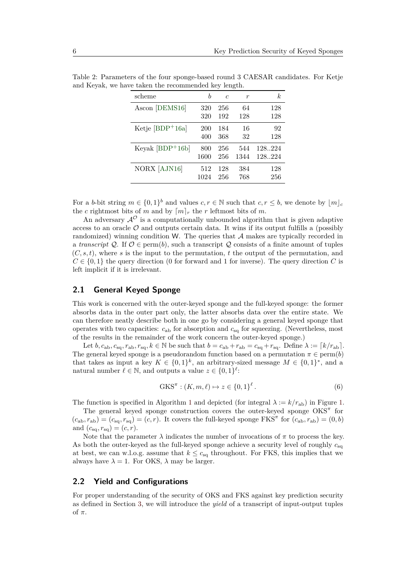| scheme              | h    | $\epsilon$ | r    | k      |
|---------------------|------|------------|------|--------|
| Ascon [DEMS16]      | 320  | 256        | 64   | 128    |
|                     | 320  | 192        | 128  | 128    |
| Ketje $[BDP+16a]$   | 200  | 184        | 16   | 92     |
|                     | 400  | 368        | 32   | 128    |
| Keyak $[BDP+16b]$   | 800  | 256        | 544  | 128224 |
|                     | 1600 | 256        | 1344 | 128224 |
| <b>NORX</b> [AJN16] | 512  | 128        | 384  | 128    |
|                     | 1024 | 256        | 768  | 256    |

<span id="page-5-0"></span>Table 2: Parameters of the four sponge-based round 3 CAESAR candidates. For Ketje and Keyak, we have taken the recommended key length.

For a *b*-bit string  $m \in \{0,1\}^b$  and values  $c, r \in \mathbb{N}$  such that  $c, r \leq b$ , we denote by  $\lfloor m \rfloor_c$ the *c* rightmost bits of *m* and by  $\lceil m \rceil_r$  the *r* leftmost bits of *m*.

An adversary  $\mathcal{A}^{\mathcal{O}}$  is a computationally unbounded algorithm that is given adaptive access to an oracle  $\mathcal O$  and outputs certain data. It wins if its output fulfills a (possibly randomized) winning condition W. The queries that A makes are typically recorded in a *transcript*  $Q$ . If  $O \in \text{perm}(b)$ , such a transcript  $Q$  consists of a finite amount of tuples  $(C, s, t)$ , where *s* is the input to the permutation, *t* the output of the permutation, and  $C \in \{0,1\}$  the query direction (0 for forward and 1 for inverse). The query direction *C* is left implicit if it is irrelevant.

#### **2.1 General Keyed Sponge**

This work is concerned with the outer-keyed sponge and the full-keyed sponge: the former absorbs data in the outer part only, the latter absorbs data over the entire state. We can therefore neatly describe both in one go by considering a general keyed sponge that operates with two capacities: *c*ab for absorption and *c*sq for squeezing. (Nevertheless, most of the results in the remainder of the work concern the outer-keyed sponge.)

Let  $b, c_{ab}, c_{sq}, r_{ab}, r_{sq}, k \in \mathbb{N}$  be such that  $b = c_{ab} + r_{ab} = c_{sq} + r_{sq}$ . Define  $\lambda := [k/r_{ab}]$ . The general keyed sponge is a pseudorandom function based on a permutation  $\pi \in \text{perm}(b)$ that takes as input a key  $K \in \{0,1\}^k$ , an arbitrary-sized message  $M \in \{0,1\}^*$ , and a natural number  $\ell \in \mathbb{N}$ , and outputs a value  $z \in \{0, 1\}^{\ell}$ :

$$
GKS^{\pi} : (K, m, \ell) \mapsto z \in \{0, 1\}^{\ell}.
$$
 (6)

The function is specified in Algorithm [1](#page-6-1) and depicted (for integral  $\lambda := k/r_{\text{ab}}$ ) in Figure [1.](#page-6-0)

The general keyed sponge construction covers the outer-keyed sponge OKS<sup> $\pi$ </sup> for  $(c_{ab}, r_{ab}) = (c_{sq}, r_{sq}) = (c, r)$ . It covers the full-keyed sponge FKS<sup> $\pi$ </sup> for  $(c_{ab}, r_{ab}) = (0, b)$ and  $(c_{\text{sq}}, r_{\text{sq}}) = (c, r)$ .

Note that the parameter  $\lambda$  indicates the number of invocations of  $\pi$  to process the key. As both the outer-keyed as the full-keyed sponge achieve a security level of roughly *c*sq at best, we can w.l.o.g. assume that  $k \leq c_{\text{sq}}$  throughout. For FKS, this implies that we always have  $\lambda = 1$ . For OKS,  $\lambda$  may be larger.

#### <span id="page-5-1"></span>**2.2 Yield and Configurations**

For proper understanding of the security of OKS and FKS against key prediction security as defined in Section [3,](#page-7-0) we will introduce the *yield* of a transcript of input-output tuples of *π*.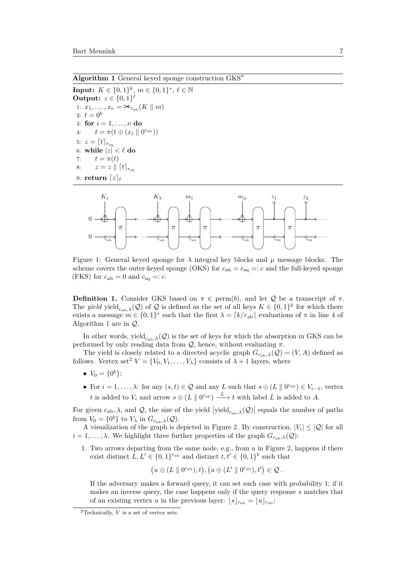<span id="page-6-1"></span>**Algorithm 1** General keyed sponge construction GKS*<sup>π</sup>*

**Input:**  $K \in \{0, 1\}^k$ ,  $m \in \{0, 1\}^*$ ,  $\ell \in \mathbb{N}$ **Output:**  $z \in \{0, 1\}^{\ell}$ 1:  $x_1, \ldots, x_\nu = \frac{1}{\epsilon} \sum_{r_{ab}} (K \parallel m)$ 2:  $t = 0^b$ 3: **for**  $i = 1, ..., \nu$  **do** 4:  $t = \pi(t \oplus (x_i \parallel 0^{c_{ab}}))$ 5:  $z = [t]_{r_{\text{sq}}}$  $6:$  while  $|z| < \ell$  do 7:  $t = \pi(t)$ 8:  $z = z \parallel [t]_{r_{\text{so}}}$ 9: **return**  $\boxed{z}_{\ell}$ 

<span id="page-6-0"></span>

Figure 1: General keyed sponge for  $\lambda$  integral key blocks and  $\mu$  message blocks. The scheme covers the outer-keyed sponge (OKS) for  $c_{ab} = c_{sq} =: c$  and the full-keyed sponge (FKS) for  $c_{ab} = 0$  and  $c_{sq} =: c$ .

**Definition 1.** Consider GKS based on  $\pi \in \text{perm}(b)$ , and let Q be a transcript of  $\pi$ . The *yield* yield<sub>c<sub>ab</sub>, $\lambda$ ( $Q$ ) of  $Q$  is defined as the set of all keys  $K \in \{0,1\}^k$  for which there</sub> exists a message  $m \in \{0,1\}^*$  such that the first  $\lambda = \lceil k/r_{ab} \rceil$  evaluations of  $\pi$  in line 4 of Algorithm [1](#page-6-1) are in Q.

In other words, yield<sub>c<sub>ab</sub>, $\lambda$ ( $Q$ ) is the set of keys for which the absorption in GKS can be</sub> performed by only reading data from  $Q$ , hence, without evaluating  $\pi$ .

The yield is closely related to a directed acyclic graph  $G_{c_{ab},\lambda}(\mathcal{Q}) = (V, A)$  defined as follows. Vertex set<sup>[2](#page-6-2)</sup>  $V = \{V_0, V_1, \ldots, V_{\lambda}\}\)$  consists of  $\lambda + 1$  layers, where

- $V_0 = \{0^b\};$
- For  $i = 1, \ldots, \lambda$ : for any  $(s, t) \in \mathcal{Q}$  and any *L* such that  $s \oplus (L \parallel 0^{c_{ab}}) \in V_{i-1}$ , vertex *t* is added to  $V_i$  and arrow  $s \oplus (L \parallel 0^{c_{ab}}) \longrightarrow t$  with label *L* is added to *A*.

For given  $c_{ab}$ ,  $\lambda$ , and  $\mathcal{Q}$ , the size of the yield  $|yield_{c_{ab},\lambda}(\mathcal{Q})|$  equals the number of paths from  $V_0 = \{0^b\}$  to  $V_\lambda$  in  $G_{c_{ab},\lambda}(\mathcal{Q})$ .

A visualization of the graph is depicted in Figure [2.](#page-7-1) By construction,  $|V_i| \leq |Q|$  for all  $i = 1, \ldots, \lambda$ . We highlight three further properties of the graph  $G_{c_2, \lambda}(\mathcal{Q})$ :

1. Two arrows departing from the same node, e.g., from *u* in Figure [2,](#page-7-1) happens if there exist distinct  $L, L' \in \{0, 1\}^{r_{ab}}$  and distinct  $t, t' \in \{0, 1\}^{b}$  such that

$$
\big(u\oplus (L\parallel 0^{c_{\rm ab}}),t\big),\big(u\oplus (L'\parallel 0^{c_{\rm ab}}),t'\big)\in\mathcal{Q}\,.
$$

If the adversary makes a forward query, it can set such case with probability 1; if it makes an inverse query, the case happens only if the query response *s* matches that of an existing vertex *u* in the previous layer:  $|s|_{c_{ab}} = |u|_{c_{ab}}$ ;

<span id="page-6-2"></span><sup>2</sup>Technically, *V* is a set of vertex sets.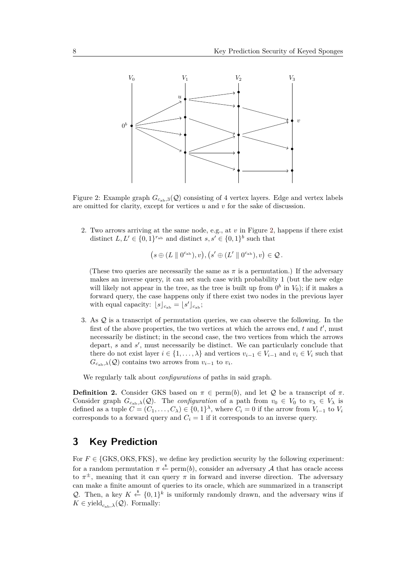<span id="page-7-1"></span>

Figure 2: Example graph  $G_{c_{ab},3}(Q)$  consisting of 4 vertex layers. Edge and vertex labels are omitted for clarity, except for vertices *u* and *v* for the sake of discussion.

2. Two arrows arriving at the same node, e.g., at *v* in Figure [2,](#page-7-1) happens if there exist distinct  $L, L' \in \{0, 1\}^{r_{ab}}$  and distinct  $s, s' \in \{0, 1\}^{b}$  such that

$$
(s \oplus (L \parallel 0^{c_{\mathrm{ab}}}), v), (s' \oplus (L' \parallel 0^{c_{\mathrm{ab}}}), v) \in \mathcal{Q}.
$$

(These two queries are necessarily the same as  $\pi$  is a permutation.) If the adversary makes an inverse query, it can set such case with probability 1 (but the new edge will likely not appear in the tree, as the tree is built up from  $0^b$  in  $V_0$ ); if it makes a forward query, the case happens only if there exist two nodes in the previous layer with equal capacity:  $\lfloor s \rfloor_{c_{\text{ab}}} = \lfloor s' \rfloor_{c_{\text{ab}}}$ ;

3. As Q is a transcript of permutation queries, we can observe the following. In the first of the above properties, the two vertices at which the arrows end,  $t$  and  $t'$ , must necessarily be distinct; in the second case, the two vertices from which the arrows depart,  $s$  and  $s'$ , must necessarily be distinct. We can particularly conclude that there do not exist layer  $i \in \{1, ..., \lambda\}$  and vertices  $v_{i-1} \in V_{i-1}$  and  $v_i \in V_i$  such that  $G_{c_{ab},\lambda}(\mathcal{Q})$  contains two arrows from  $v_{i-1}$  to  $v_i$ .

We regularly talk about *configurations* of paths in said graph.

<span id="page-7-2"></span>**Definition 2.** Consider GKS based on  $\pi \in \text{perm}(b)$ , and let Q be a transcript of  $\pi$ . Consider graph  $G_{c_{ab},\lambda}(Q)$ . The *configuration* of a path from  $v_0 \in V_0$  to  $v_\lambda \in V_\lambda$  is defined as a tuple  $C = (C_1, \ldots, C_\lambda) \in \{0,1\}^\lambda$ , where  $C_i = 0$  if the arrow from  $V_{i-1}$  to  $V_i$ corresponds to a forward query and  $C_i = 1$  if it corresponds to an inverse query.

# <span id="page-7-0"></span>**3 Key Prediction**

For  $F \in \{GKS, OKS, FKS\}$ , we define key prediction security by the following experiment: for a random permutation  $\pi \stackrel{\$}{\leftarrow} \text{perm}(b)$ , consider an adversary A that has oracle access to  $\pi^{\pm}$ , meaning that it can query  $\pi$  in forward and inverse direction. The adversary can make a finite amount of queries to its oracle, which are summarized in a transcript Q. Then, a key  $K \stackrel{\$}{\leftarrow} \{0,1\}^k$  is uniformly randomly drawn, and the adversary wins if  $K \in \text{yield}_{c_{n+1},\lambda}(\mathcal{Q})$ . Formally: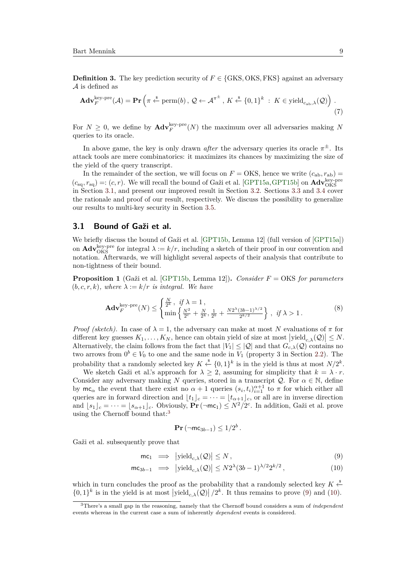<span id="page-8-5"></span>**Definition 3.** The key prediction security of  $F \in \{GKS, OKS, FKS\}$  against an adversary A is defined as

$$
\mathbf{Adv}_{F}^{\text{key-pre}}(\mathcal{A}) = \mathbf{Pr}\left(\pi \stackrel{\hspace{0.1em}\mathsf{\scriptscriptstyle\$}}{\leftarrow} \text{perm}(b), \mathcal{Q} \leftarrow \mathcal{A}^{\pi^{\pm}}, K \stackrel{\hspace{0.1em}\mathsf{\scriptscriptstyle\$}}{\leftarrow} \{0,1\}^k : K \in \text{yield}_{c_{\text{ab}},\lambda}(\mathcal{Q})\right). \tag{7}
$$

For  $N \geq 0$ , we define by  $\mathbf{Adv}_{F}^{\text{key-pre}}(N)$  the maximum over all adversaries making N queries to its oracle.

In above game, the key is only drawn *after* the adversary queries its oracle  $\pi^{\pm}$ . Its attack tools are mere combinatorics: it maximizes its chances by maximizing the size of the yield of the query transcript.

In the remainder of the section, we will focus on  $F = \text{OKS}$ , hence we write  $(c_{ab}, r_{ab}) =$  $(c_{\text{sq}}, r_{\text{sq}}) =: (c, r)$ . We will recall the bound of Gaži et al. [\[GPT15a,](#page-19-6) [GPT15b\]](#page-19-8) on  $\text{Adv}_{\text{OKS}}^{\text{key-pre}}$ in Section [3.1,](#page-8-1) and present our improved result in Section [3.2.](#page-9-1) Sections [3.3](#page-10-0) and [3.4](#page-12-0) cover the rationale and proof of our result, respectively. We discuss the possibility to generalize our results to multi-key security in Section [3.5.](#page-15-1)

### <span id="page-8-1"></span>**3.1 Bound of Gaži et al.**

We briefly discuss the bound of Gaži et al. [\[GPT15b,](#page-19-8) Lemma 12] (full version of [\[GPT15a\]](#page-19-6)) on  $\text{Adv}_{\text{OKS}}^{\text{key-pre}}$  for integral  $\lambda := k/r$ , including a sketch of their proof in our convention and notation. Afterwards, we will highlight several aspects of their analysis that contribute to non-tightness of their bound.

<span id="page-8-0"></span>**Proposition 1** (Gaži et al. [\[GPT15b,](#page-19-8) Lemma 12])**.** *Consider F* = OKS *for parameters*  $(b, c, r, k)$ *, where*  $\lambda := k/r$  *is integral. We have* 

$$
\mathbf{Adv}_{F}^{\text{key-pre}}(N) \leq \begin{cases} \frac{N}{2^{k}}, & \text{if } \lambda = 1, \\ \min \left\{ \frac{N^{2}}{2^{c}} + \frac{N}{2^{k}}, \frac{1}{2^{b}} + \frac{N2^{\lambda}(3b-1)^{\lambda/2}}{2^{k/2}} \right\}, & \text{if } \lambda > 1. \end{cases}
$$
(8)

*Proof (sketch).* In case of  $\lambda = 1$ , the adversary can make at most N evaluations of  $\pi$  for different key guesses  $K_1, \ldots, K_N$ , hence can obtain yield of size at most  $|yield_{c,\lambda}(\mathcal{Q})| \leq N$ . Alternatively, the claim follows from the fact that  $|V_1| \leq |Q|$  and that  $G_{c,\lambda}(Q)$  contains no two arrows from  $0^b \in V_0$  to one and the same node in  $V_1$  (property 3 in Section [2.2\)](#page-5-1). The probability that a randomly selected key  $K \xleftarrow{\$} \{0,1\}^k$  is in the yield is thus at most  $N/2^k$ .

We sketch Gaži et al.'s approach for  $\lambda \geq 2$ , assuming for simplicity that  $k = \lambda \cdot r$ . Consider any adversary making *N* queries, stored in a transcript  $Q$ . For  $\alpha \in \mathbb{N}$ , define by  $mc_{\alpha}$  the event that there exist no  $\alpha + 1$  queries  $(s_i, t_i)_{i=1}^{\alpha+1}$  to  $\pi$  for which either all queries are in forward direction and  $\lfloor t_1 \rfloor_c = \cdots = \lfloor t_{\alpha+1} \rfloor_c$ , or all are in inverse direction and  $[s_1]_c = \cdots = [s_{\alpha+1}]_c$ . Obviously,  $\Pr(\neg mc_1) \leq N^2/2^c$ . In addition, Gaži et al. prove using the Chernoff bound that:<sup>[3](#page-8-2)</sup>

<span id="page-8-4"></span><span id="page-8-3"></span>
$$
\mathbf{Pr}(\neg \mathsf{mc}_{3b-1}) \leq 1/2^b.
$$

Gaži et al. subsequently prove that

$$
\mathsf{mc}_1 \quad \Longrightarrow \quad \left| \text{yield}_{c,\lambda}(\mathcal{Q}) \right| \le N \,, \tag{9}
$$

$$
\mathsf{mc}_{3b-1} \implies |\text{yield}_{c,\lambda}(\mathcal{Q})| \le N2^{\lambda}(3b-1)^{\lambda/2}2^{k/2},\tag{10}
$$

which in turn concludes the proof as the probability that a randomly selected key  $K \xleftarrow{\$}$  $\{0,1\}^k$  is in the yield is at most  $|\text{yield}_{c,\lambda}(\mathcal{Q})|/2^k$ . It thus remains to prove [\(9\)](#page-8-3) and [\(10\)](#page-8-4).

<span id="page-8-2"></span><sup>3</sup>There's a small gap in the reasoning, namely that the Chernoff bound considers a sum of *independent* events whereas in the current case a sum of inherently *dependent* events is considered.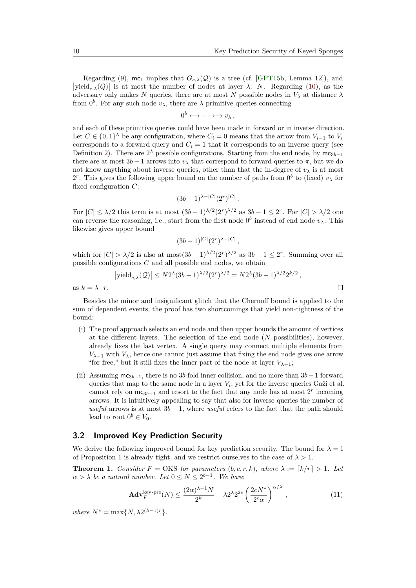$\Box$ 

Regarding [\(9\)](#page-8-3),  $mc_1$  implies that  $G_{c,\lambda}(Q)$  is a tree (cf. [\[GPT15b,](#page-19-8) Lemma 12]), and  $|\text{yield}_{c,\lambda}(Q)|$  is at most the number of nodes at layer *λ*: *N*. Regarding [\(10\)](#page-8-4), as the adversary only makes *N* queries, there are at most *N* possible nodes in  $V_{\lambda}$  at distance  $\lambda$ from  $0^b$ . For any such node  $v_\lambda$ , there are  $\lambda$  primitive queries connecting

$$
0^b \longleftrightarrow \cdots \longleftrightarrow v_\lambda ,
$$

and each of these primitive queries could have been made in forward or in inverse direction. Let  $C \in \{0,1\}^{\lambda}$  be any configuration, where  $C_i = 0$  means that the arrow from  $V_{i-1}$  to  $V_i$ corresponds to a forward query and  $C_i = 1$  that it corresponds to an inverse query (see Definition [2\)](#page-7-2). There are  $2^{\lambda}$  possible configurations. Starting from the end node, by  $mc_{3b-1}$ there are at most  $3b - 1$  arrows into  $v_\lambda$  that correspond to forward queries to  $\pi$ , but we do not know anything about inverse queries, other than that the in-degree of  $v_{\lambda}$  is at most 2<sup>r</sup>. This gives the following upper bound on the number of paths from  $0^b$  to (fixed)  $v_\lambda$  for fixed configuration *C*:

$$
(3b-1)^{\lambda-|C|}(2^r)^{|C|}.
$$

For  $|C| \leq \lambda/2$  this term is at most  $(3b-1)^{\lambda/2}(2^r)^{\lambda/2}$  as  $3b-1 \leq 2^r$ . For  $|C| > \lambda/2$  one can reverse the reasoning, i.e., start from the first node  $0^b$  instead of end node  $v_\lambda$ . This likewise gives upper bound

$$
(3b-1)^{|C|}(2^r)^{\lambda-|C|},
$$

which for  $|C| > \lambda/2$  is also at most $(3b-1)^{\lambda/2} (2^r)^{\lambda/2}$  as  $3b-1 \leq 2^r$ . Summing over all possible configurations *C* and all possible end nodes, we obtain

$$
\left|\mathrm{yield}_{c,\lambda}(\mathcal{Q})\right| \leq N2^{\lambda}(3b-1)^{\lambda/2}(2^r)^{\lambda/2} = N2^{\lambda}(3b-1)^{\lambda/2}2^{k/2},
$$

as  $k = \lambda \cdot r$ .

Besides the minor and insignificant glitch that the Chernoff bound is applied to the sum of dependent events, the proof has two shortcomings that yield non-tightness of the bound:

- (i) The proof approach selects an end node and then upper bounds the amount of vertices at the different layers. The selection of the end node (*N* possibilities), however, already fixes the last vertex. A single query may connect multiple elements from  $V_{\lambda-1}$  with  $V_{\lambda}$ , hence one cannot just assume that fixing the end node gives one arrow "for free," but it still fixes the inner part of the node at layer  $V_{\lambda-1}$ ;
- (ii) Assuming mc3*b*−1, there is no 3*b*-fold inner collision, and no more than 3*b*−1 forward queries that map to the same node in a layer  $V_i$ ; yet for the inverse queries Gaži et al. cannot rely on  $mc_{3b-1}$  and resort to the fact that any node has at most  $2<sup>r</sup>$  incoming arrows. It is intuitively appealing to say that also for inverse queries the number of *useful* arrows is at most  $3b - 1$ , where *useful* refers to the fact that the path should lead to root  $0^b \in V_0$ .

### <span id="page-9-1"></span>**3.2 Improved Key Prediction Security**

We derive the following improved bound for key prediction security. The bound for  $\lambda = 1$ of Proposition [1](#page-8-0) is already tight, and we restrict ourselves to the case of  $\lambda > 1$ .

<span id="page-9-0"></span>**Theorem 1.** *Consider*  $F = OKS$  *for parameters*  $(b, c, r, k)$ *, where*  $\lambda := \lfloor k/r \rfloor > 1$ *. Let*  $\alpha > \lambda$  *be a natural number. Let*  $0 \leq N \leq 2^{b-1}$ *. We have* 

<span id="page-9-2"></span>
$$
\mathbf{Adv}_{F}^{\text{key-pre}}(N) \le \frac{(2\alpha)^{\lambda-1}N}{2^{k}} + \lambda 2^{\lambda}2^{2c} \left(\frac{2eN^{*}}{2^{c}\alpha}\right)^{\alpha/\lambda},\tag{11}
$$

 $where N^* = \max\{N, \lambda 2^{(\lambda-1)r}\}.$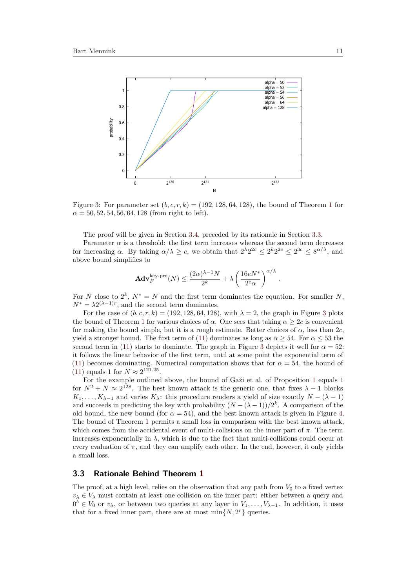<span id="page-10-1"></span>

Figure 3: For parameter set  $(b, c, r, k) = (192, 128, 64, 128)$  $(b, c, r, k) = (192, 128, 64, 128)$  $(b, c, r, k) = (192, 128, 64, 128)$ , the bound of Theorem 1 for  $\alpha = 50, 52, 54, 56, 64, 128$  (from right to left).

The proof will be given in Section [3.4,](#page-12-0) preceded by its rationale in Section [3.3.](#page-10-0)

Parameter  $\alpha$  is a threshold: the first term increases whereas the second term decreases for increasing  $\alpha$ . By taking  $\alpha/\lambda \geq c$ , we obtain that  $2^{\lambda}2^{2c} \leq 2^{k}2^{2c} \leq 2^{3c} \leq 8^{\alpha/\lambda}$ , and above bound simplifies to

$$
\mathbf{Adv}_{F}^{\text{key-pre}}(N) \le \frac{(2\alpha)^{\lambda-1}N}{2^k} + \lambda \left(\frac{16eN^*}{2^c\alpha}\right)^{\alpha/\lambda}.
$$

For *N* close to  $2^k$ ,  $N^* = N$  and the first term dominates the equation. For smaller *N*,  $N^* = \lambda 2^{(\lambda - 1)r}$ , and the second term dominates.

For the case of  $(b, c, r, k) = (192, 128, 64, 128)$ , with  $\lambda = 2$ , the graph in Figure [3](#page-10-1) plots the bound of Theorem [1](#page-9-0) for various choices of *α*. One sees that taking  $\alpha \geq 2c$  is convenient for making the bound simple, but it is a rough estimate. Better choices of  $\alpha$ , less than 2*c*, yield a stronger bound. The first term of [\(11\)](#page-9-2) dominates as long as  $\alpha \geq 54$ . For  $\alpha \leq 53$  the second term in [\(11\)](#page-9-2) starts to dominate. The graph in Figure [3](#page-10-1) depicts it well for  $\alpha = 52$ : it follows the linear behavior of the first term, until at some point the exponential term of [\(11\)](#page-9-2) becomes dominating. Numerical computation shows that for  $\alpha = 54$ , the bound of [\(11\)](#page-9-2) equals 1 for  $N \approx 2^{121.25}$ .

For the example outlined above, the bound of Gaži et al. of Proposition [1](#page-8-0) equals 1 for  $N^2 + N \approx 2^{128}$ . The best known attack is the generic one, that fixes  $\lambda - 1$  blocks *K*<sub>1</sub>, . . . , *K*<sub> $\lambda$ </sub>-1 and varies *K*<sub> $\lambda$ </sub>: this procedure renders a yield of size exactly *N* − ( $\lambda$  − 1) and succeeds in predicting the key with probability  $(N - (\lambda - 1))/2^k$ . A comparison of the old bound, the new bound (for  $\alpha = 54$ ), and the best known attack is given in Figure [4.](#page-11-0) The bound of Theorem [1](#page-9-0) permits a small loss in comparison with the best known attack, which comes from the accidental event of multi-collisions on the inner part of *π*. The term increases exponentially in  $\lambda$ , which is due to the fact that multi-collisions could occur at every evaluation of  $\pi$ , and they can amplify each other. In the end, however, it only yields a small loss.

#### <span id="page-10-0"></span>**3.3 Rationale Behind Theorem [1](#page-9-0)**

The proof, at a high level, relies on the observation that any path from  $V_0$  to a fixed vertex  $v_{\lambda} \in V_{\lambda}$  must contain at least one collision on the inner part: either between a query and  $0^b \in V_0$  or  $v_\lambda$ , or between two queries at any layer in  $V_1, \ldots, V_{\lambda-1}$ . In addition, it uses that for a fixed inner part, there are at most  $\min\{N, 2^r\}$  queries.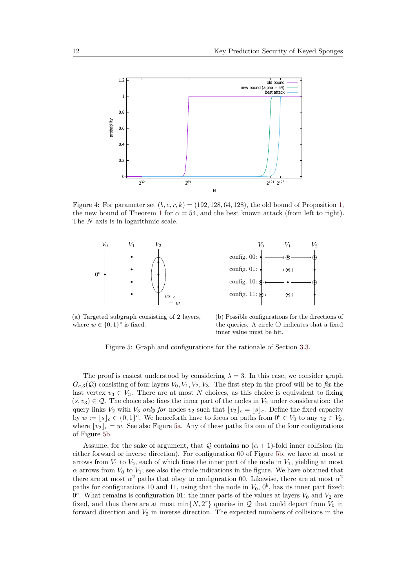<span id="page-11-0"></span>

Figure 4: For parameter set  $(b, c, r, k) = (192, 128, 64, 128)$ , the old bound of Proposition [1,](#page-8-0) the new bound of Theorem [1](#page-9-0) for  $\alpha = 54$ , and the best known attack (from left to right). The *N* axis is in logarithmic scale.





<span id="page-11-1"></span>(a) Targeted subgraph consisting of 2 layers, where  $w \in \{0,1\}^c$  is fixed.

<span id="page-11-2"></span>(b) Possible configurations for the directions of the queries. A circle  $\bigcirc$  indicates that a fixed inner value must be hit.

Figure 5: Graph and configurations for the rationale of Section [3.3.](#page-10-0)

The proof is easiest understood by considering  $\lambda = 3$ . In this case, we consider graph  $G_{c,3}(Q)$  consisting of four layers  $V_0, V_1, V_2, V_3$ . The first step in the proof will be to *fix* the last vertex  $v_3 \in V_3$ . There are at most *N* choices, as this choice is equivalent to fixing  $(s, v_3) \in \mathcal{Q}$ . The choice also fixes the inner part of the nodes in  $V_2$  under consideration: the query links  $V_2$  with  $V_3$  *only for* nodes  $v_2$  such that  $|v_2|_c = |s|_c$ . Define the fixed capacity by  $w := \lfloor s \rfloor_c \in \{0,1\}^c$ . We henceforth have to focus on paths from  $0^b \in V_0$  to any  $v_2 \in V_2$ , where  $|v_2|_c = w$ . See also Figure [5a.](#page-11-1) Any of these paths fits one of the four configurations of Figure [5b.](#page-11-2)

Assume, for the sake of argument, that  $Q$  contains no  $(\alpha + 1)$ -fold inner collision (in either forward or inverse direction). For configuration 00 of Figure [5b,](#page-11-2) we have at most *α* arrows from  $V_1$  to  $V_2$ , each of which fixes the inner part of the node in  $V_1$ , yielding at most  $\alpha$  arrows from  $V_0$  to  $V_1$ ; see also the circle indications in the figure. We have obtained that there are at most  $\alpha^2$  paths that obey to configuration 00. Likewise, there are at most  $\alpha^2$ paths for configurations 10 and 11, using that the node in  $V_0$ ,  $0^b$ , has its inner part fixed:  $0<sup>c</sup>$ . What remains is configuration 01: the inner parts of the values at layers  $V_0$  and  $V_2$  are fixed, and thus there are at most  $\min\{N, 2^r\}$  queries in  $\mathcal Q$  that could depart from  $V_0$  in forward direction and  $V_2$  in inverse direction. The expected numbers of collisions in the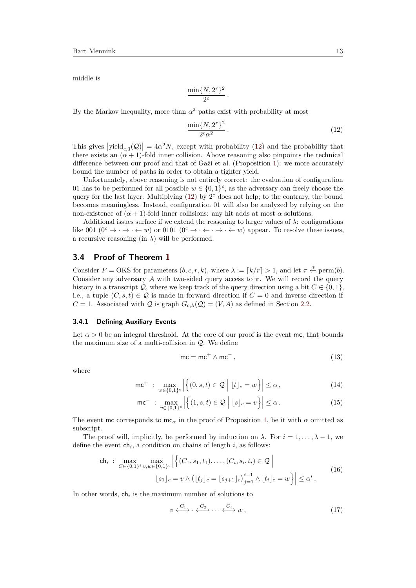middle is

$$
\frac{\min\{N, 2^r\}^2}{2^c}.
$$

By the Markov inequality, more than  $\alpha^2$  paths exist with probability at most

<span id="page-12-1"></span>
$$
\frac{\min\{N, 2^r\}^2}{2^c \alpha^2} \,. \tag{12}
$$

This gives  $|\text{yield}_{c,3}(\mathcal{Q})| = 4\alpha^2 N$ , except with probability [\(12\)](#page-12-1) and the probability that there exists an  $(\alpha + 1)$ -fold inner collision. Above reasoning also pinpoints the technical difference between our proof and that of Gaži et al. (Proposition [1\)](#page-8-0): we more accurately bound the number of paths in order to obtain a tighter yield.

Unfortunately, above reasoning is not entirely correct: the evaluation of configuration 01 has to be performed for all possible  $w \in \{0,1\}^c$ , as the adversary can freely choose the query for the last layer. Multiplying  $(12)$  by  $2<sup>c</sup>$  does not help; to the contrary, the bound becomes meaningless. Instead, configuration 01 will also be analyzed by relying on the non-existence of  $(\alpha + 1)$ -fold inner collisions: any hit adds at most  $\alpha$  solutions.

Additional issues surface if we extend the reasoning to larger values of  $\lambda$ : configurations like 001 ( $0^c \rightarrow \cdot \rightarrow \cdot \leftarrow w$ ) or 0101 ( $0^c \rightarrow \cdot \leftarrow \cdot \rightarrow \cdot \leftarrow w$ ) appear. To resolve these issues, a recursive reasoning (in  $\lambda$ ) will be performed.

## <span id="page-12-0"></span>**3.4 Proof of Theorem [1](#page-9-0)**

Consider  $F = \text{OKS}$  for parameters  $(b, c, r, k)$ , where  $\lambda := [k/r] > 1$ , and let  $\pi \stackrel{\text{s}}{\leftarrow} \text{perm}(b)$ . Consider any adversary A with two-sided query access to *π*. We will record the query history in a transcript  $\mathcal{Q}$ , where we keep track of the query direction using a bit  $C \in \{0, 1\}$ . i.e., a tuple  $(C, s, t) \in \mathcal{Q}$  is made in forward direction if  $C = 0$  and inverse direction if  $C = 1$ . Associated with *Q* is graph  $G_{c,\lambda}(Q) = (V, A)$  as defined in Section [2.2.](#page-5-1)

#### <span id="page-12-2"></span>**3.4.1 Defining Auxiliary Events**

Let  $\alpha > 0$  be an integral threshold. At the core of our proof is the event mc, that bounds the maximum size of a multi-collision in  $\mathcal{Q}$ . We define

<span id="page-12-3"></span>
$$
mc = mc^{+} \wedge mc^{-}, \qquad (13)
$$

where

$$
\mathsf{mc}^+ : \max_{w \in \{0,1\}^c} \left| \left\{ (0,s,t) \in \mathcal{Q} \mid [t]_c = w \right\} \right| \le \alpha, \tag{14}
$$

$$
\mathsf{mc}^- : \max_{v \in \{0,1\}^c} \left| \left\{ (1,s,t) \in \mathcal{Q} \mid \lfloor s \rfloor_c = v \right\} \right| \le \alpha. \tag{15}
$$

The event mc corresponds to mc<sub>α</sub> in the proof of Proposition [1,](#page-8-0) be it with  $\alpha$  omitted as subscript.

The proof will, implicitly, be performed by induction on  $\lambda$ . For  $i = 1, \ldots, \lambda - 1$ , we define the event  $\mathsf{ch}_i$ , a condition on chains of length  $i$ , as follows:

$$
\mathsf{ch}_{i} : \max_{C \in \{0,1\}^{i}} \max_{v,w \in \{0,1\}^{c}} \left| \left\{ (C_{1}, s_{1}, t_{1}), \ldots, (C_{i}, s_{i}, t_{i}) \in \mathcal{Q} \, \middle| \right\} \right|
$$
\n
$$
\left| s_{1} \right|_{c} = v \wedge \left( \lfloor t_{j} \rfloor_{c} = \lfloor s_{j+1} \rfloor_{c} \right)_{j=1}^{i-1} \wedge \lfloor t_{i} \rfloor_{c} = w \right\} \left| \leq \alpha^{i} \, .
$$
\n
$$
(16)
$$

In other words,  $\mathsf{ch}_i$  is the maximum number of solutions to

<span id="page-12-4"></span>
$$
v \xleftarrow{C_1} \cdot \xleftarrow{C_2} \cdots \xleftarrow{C_i} w \,, \tag{17}
$$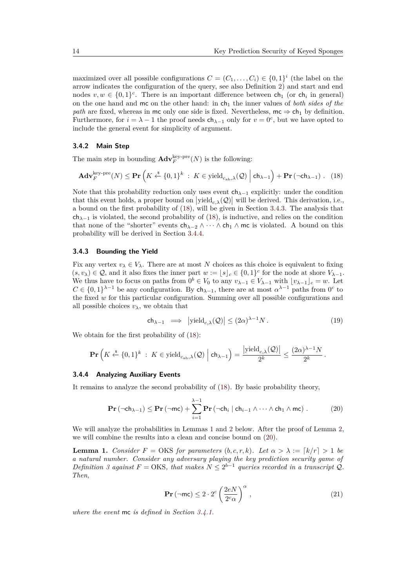maximized over all possible configurations  $C = (C_1, \ldots, C_i) \in \{0,1\}^i$  (the label on the arrow indicates the configuration of the query, see also Definition [2\)](#page-7-2) and start and end nodes  $v, w \in \{0, 1\}^c$ . There is an important difference between  $\mathsf{ch}_1$  (or  $\mathsf{ch}_i$  in general) on the one hand and mc on the other hand: in ch<sub>1</sub> the inner values of *both sides of the path* are fixed, whereas in mc only one side is fixed. Nevertheless,  $mc \Rightarrow ch_1$  by definition. Furthermore, for  $i = \lambda - 1$  the proof needs  $ch_{\lambda-1}$  only for  $v = 0^c$ , but we have opted to include the general event for simplicity of argument.

#### **3.4.2 Main Step**

The main step in bounding  $\mathbf{Adv}_{F}^{\text{key-pre}}(N)$  is the following:

$$
\mathbf{Adv}_{F}^{\text{key-pre}}(N) \le \mathbf{Pr}\left(K \xleftarrow{\$} \{0,1\}^{k} : K \in \text{yield}_{c_{\text{ab}},\lambda}(\mathcal{Q}) \mid \mathsf{ch}_{\lambda-1}\right) + \mathbf{Pr}\left(\neg \mathsf{ch}_{\lambda-1}\right). \tag{18}
$$

Note that this probability reduction only uses event  $ch_{\lambda-1}$  explicitly: under the condition that this event holds, a proper bound on  $|\text{yield}_{c,\lambda}(\mathcal{Q})|$  will be derived. This derivation, i.e., a bound on the first probability of [\(18\)](#page-13-0), will be given in Section [3.4.3.](#page-13-1) The analysis that  $ch_{\lambda-1}$  is violated, the second probability of [\(18\)](#page-13-0), is inductive, and relies on the condition that none of the "shorter" events  $ch_{\lambda-2} \wedge \cdots \wedge ch_1 \wedge mc$  is violated. A bound on this probability will be derived in Section [3.4.4.](#page-13-2)

#### <span id="page-13-1"></span>**3.4.3 Bounding the Yield**

Fix any vertex  $v_{\lambda} \in V_{\lambda}$ . There are at most N choices as this choice is equivalent to fixing  $(s, v_\lambda) \in \mathcal{Q}$ , and it also fixes the inner part  $w := [s]_c \in \{0, 1\}^c$  for the node at shore  $V_{\lambda-1}$ . We thus have to focus on paths from  $0^b \in V_0$  to any  $v_{\lambda-1} \in V_{\lambda-1}$  with  $[v_{\lambda-1}]_c = w$ . Let  $C \in \{0,1\}^{\lambda-1}$  be any configuration. By  $\mathsf{ch}_{\lambda-1}$ , there are at most  $\alpha^{\lambda-1}$  paths from  $0^c$  to the fixed *w* for this particular configuration. Summing over all possible configurations and all possible choices  $v_{\lambda}$ , we obtain that

<span id="page-13-0"></span>
$$
\mathsf{ch}_{\lambda-1} \implies \left| \mathrm{yield}_{c,\lambda}(\mathcal{Q}) \right| \le (2\alpha)^{\lambda-1} N. \tag{19}
$$

We obtain for the first probability of [\(18\)](#page-13-0):

$$
\mathbf{Pr}\left(K \xleftarrow{\$} \{0,1\}^k \ : \ K \in \text{yield}_{c_{\text{ab}},\lambda}(\mathcal{Q}) \ \Big| \ \mathsf{ch}_{\lambda-1}\right) = \frac{\left|\text{yield}_{c,\lambda}(\mathcal{Q})\right|}{2^k} \le \frac{(2\alpha)^{\lambda-1}N}{2^k} \, .
$$

#### <span id="page-13-2"></span>**3.4.4 Analyzing Auxiliary Events**

It remains to analyze the second probability of [\(18\)](#page-13-0). By basic probability theory,

$$
\mathbf{Pr}\left(\neg \mathsf{ch}_{\lambda-1}\right) \leq \mathbf{Pr}\left(\neg \mathsf{mc}\right) + \sum_{i=1}^{\lambda-1} \mathbf{Pr}\left(\neg \mathsf{ch}_{i} \mid \mathsf{ch}_{i-1} \land \dots \land \mathsf{ch}_{1} \land \mathsf{mc}\right). \tag{20}
$$

We will analyze the probabilities in Lemmas [1](#page-13-3) and [2](#page-14-0) below. After the proof of Lemma [2,](#page-14-0) we will combine the results into a clean and concise bound on [\(20\)](#page-13-4).

<span id="page-13-3"></span>**Lemma 1.** *Consider*  $F = OKS$  *for parameters*  $(b, c, r, k)$ *. Let*  $\alpha > \lambda := [k/r] > 1$  *be a natural number. Consider any adversary playing the key prediction security game of Definition* [3](#page-8-5) *against*  $F = OKS$ *, that makes*  $N \leq 2^{b-1}$  *queries recorded in a transcript*  $Q$ *. Then,*

<span id="page-13-4"></span>
$$
\mathbf{Pr}\left(\neg \mathsf{mc}\right) \le 2 \cdot 2^c \left(\frac{2eN}{2^c \alpha}\right)^{\alpha},\tag{21}
$$

*where the event* mc *is defined in Section [3.4.1.](#page-12-2)*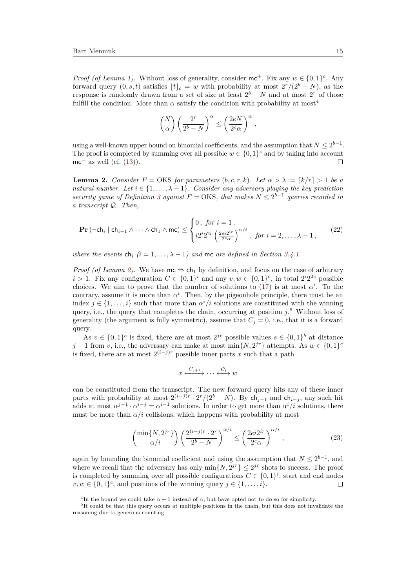*Proof (of Lemma [1\)](#page-13-3)*. Without loss of generality, consider  $mc^+$ . Fix any  $w \in \{0,1\}^c$ . Any forward query  $(0, s, t)$  satisfies  $\lfloor t \rfloor_c = w$  with probability at most  $2^r/(2^b - N)$ , as the response is randomly drawn from a set of size at least  $2<sup>b</sup> - N$  and at most  $2<sup>r</sup>$  of those fulfill the condition. More than  $\alpha$  satisfy the condition with probability at most<sup>[4](#page-14-1)</sup>

$$
\binom{N}{\alpha}\left(\frac{2^r}{2^b-N}\right)^{\alpha}\leq \left(\frac{2eN}{2^c\alpha}\right)^{\alpha}\,,
$$

using a well-known upper bound on binomial coefficients, and the assumption that  $N \leq 2^{b-1}$ . The proof is completed by summing over all possible  $w \in \{0,1\}^c$  and by taking into account mc<sup> $-$ </sup> as well (cf.  $(13)$ ).  $\Box$ 

<span id="page-14-0"></span>**Lemma 2.** *Consider*  $F = OKS$  *for parameters*  $(b, c, r, k)$ *. Let*  $\alpha > \lambda := [k/r] > 1$  *be a natural number. Let*  $i \in \{1, ..., \lambda - 1\}$ *. Consider any adversary playing the key prediction security game of Definition* [3](#page-8-5) *against*  $F = OKS$ , that makes  $N \leq 2^{b-1}$  queries recorded in *a transcript* Q*. Then,*

$$
\mathbf{Pr}\left(\neg \mathsf{ch}_{i} \mid \mathsf{ch}_{i-1} \land \dots \land \mathsf{ch}_{1} \land \mathsf{mc}\right) \leq \begin{cases} 0, \text{ for } i = 1, \\ i2^{i}2^{2c} \left(\frac{2ei2^{ir}}{2^{c}\alpha}\right)^{\alpha/i}, \text{ for } i = 2, \dots, \lambda - 1, \end{cases} \tag{22}
$$

*where the events*  $\mathsf{ch}_i$   $(i = 1, \ldots, \lambda - 1)$  and mc are defined in Section [3.4.1.](#page-12-2)

*Proof (of Lemma [2\)](#page-14-0).* We have  $mc \Rightarrow ch_1$  by definition, and focus on the case of arbitrary *i* > 1. Fix any configuration  $C \in \{0,1\}^i$  and any  $v, w \in \{0,1\}^c$ , in total  $2^{i}2^{2c}$  possible choices. We aim to prove that the number of solutions to [\(17\)](#page-12-4) is at most  $\alpha^i$ . To the contrary, assume it is more than  $\alpha^i$ . Then, by the pigeonhole principle, there must be an index  $j \in \{1, \ldots, i\}$  such that more than  $\alpha^i/i$  solutions are constituted with the winning query, i.e., the query that completes the chain, occurring at position  $j$ <sup>[5](#page-14-2)</sup>. Without loss of generality (the argument is fully symmetric), assume that  $C<sub>j</sub> = 0$ , i.e., that it is a forward query.

As  $v \in \{0,1\}^c$  is fixed, there are at most  $2^{jr}$  possible values  $s \in \{0,1\}^b$  at distance *j* − 1 from *v*, i.e., the adversary can make at most min $\{N, 2^{jr}\}$  attempts. As  $w \in \{0, 1\}^c$ is fixed, there are at most  $2^{(i-j)r}$  possible inner parts *x* such that a path

$$
x \xleftrightarrow{C_{j+1}} \cdots \xleftrightarrow{C_i} w
$$

can be constituted from the transcript. The new forward query hits any of these inner parts with probability at most  $2^{(i-j)r} \cdot 2^r/(2^b - N)$ . By ch<sub>j−1</sub> and ch<sub>i−j</sub>, any such hit adds at most  $\alpha^{j-1} \cdot \alpha^{i-j} = \alpha^{i-1}$  solutions. In order to get more than  $\alpha^i/i$  solutions, there must be more than  $\alpha/i$  collisions, which happens with probability at most

$$
\begin{pmatrix} \min\{N, 2^{jr}\} \\ \alpha/i \end{pmatrix} \left( \frac{2^{(i-j)r} \cdot 2^r}{2^b - N} \right)^{\alpha/i} \le \left( \frac{2e i 2^{ir}}{2^c \alpha} \right)^{\alpha/i},\tag{23}
$$

again by bounding the binomial coefficient and using the assumption that  $N \leq 2^{b-1}$ , and where we recall that the adversary has only  $\min\{N, 2^{jr}\} \leq 2^{jr}$  shots to success. The proof is completed by summing over all possible configurations  $C \in \{0,1\}^i$ , start and end nodes  $v, w \in \{0, 1\}^c$ , and positions of the winning query  $j \in \{1, \ldots, i\}$ .  $\Box$ 

<span id="page-14-2"></span><span id="page-14-1"></span><sup>&</sup>lt;sup>4</sup>In the bound we could take  $\alpha + 1$  instead of  $\alpha$ , but have opted not to do so for simplicity.

<sup>&</sup>lt;sup>5</sup>It could be that this query occurs at multiple positions in the chain, but this does not invalidate the reasoning due to generous counting.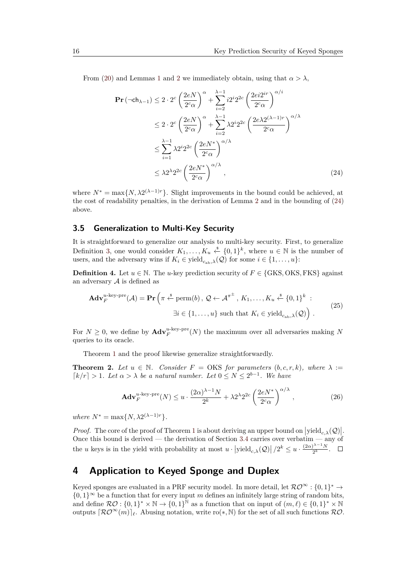From [\(20\)](#page-13-4) and Lemmas [1](#page-13-3) and [2](#page-14-0) we immediately obtain, using that  $\alpha > \lambda$ ,

<span id="page-15-2"></span>
$$
\begin{split} \mathbf{Pr}\left(\neg \mathsf{ch}_{\lambda-1}\right) &\leq 2 \cdot 2^{c} \left(\frac{2eN}{2^{c}\alpha}\right)^{\alpha} + \sum_{i=2}^{\lambda-1} i2^{i}2^{2c} \left(\frac{2ei2^{ir}}{2^{c}\alpha}\right)^{\alpha/i} \\ &\leq 2 \cdot 2^{c} \left(\frac{2eN}{2^{c}\alpha}\right)^{\alpha} + \sum_{i=2}^{\lambda-1} \lambda 2^{i}2^{2c} \left(\frac{2e\lambda 2^{(\lambda-1)r}}{2^{c}\alpha}\right)^{\alpha/\lambda} \\ &\leq \sum_{i=1}^{\lambda-1} \lambda 2^{i}2^{2c} \left(\frac{2eN^{*}}{2^{c}\alpha}\right)^{\alpha/\lambda} \\ &\leq \lambda 2^{\lambda}2^{2c} \left(\frac{2eN^{*}}{2^{c}\alpha}\right)^{\alpha/\lambda}, \end{split} \tag{24}
$$

where  $N^* = \max\{N, \lambda 2^{(\lambda-1)r}\}\$ . Slight improvements in the bound could be achieved, at the cost of readability penalties, in the derivation of Lemma [2](#page-14-0) and in the bounding of [\(24\)](#page-15-2) above.

### <span id="page-15-1"></span>**3.5 Generalization to Multi-Key Security**

It is straightforward to generalize our analysis to multi-key security. First, to generalize Definition [3,](#page-8-5) one would consider  $K_1, \ldots, K_u \stackrel{\hspace{0.1em}\mathsf{\scriptscriptstyle\$}}{\leftarrow} \{0,1\}^k$ , where  $u \in \mathbb{N}$  is the number of users, and the adversary wins if  $K_i \in \text{yield}_{c_{n,k},\lambda}(\mathcal{Q})$  for some  $i \in \{1,\ldots,u\}$ :

**Definition 4.** Let  $u \in \mathbb{N}$ . The *u*-key prediction security of  $F \in \{GKS, OKS, FKS\}$  against an adversary  $A$  is defined as

$$
\mathbf{Adv}_{F}^{u\text{-key-pre}}(\mathcal{A}) = \mathbf{Pr}\left(\pi \stackrel{\text{s}}{\leftarrow} \text{perm}(b), \mathcal{Q} \leftarrow \mathcal{A}^{\pi^{\pm}}, K_1, \dots, K_u \stackrel{\text{s}}{\leftarrow} \{0, 1\}^k : \\ \exists i \in \{1, \dots, u\} \text{ such that } K_i \in \text{yield}_{c_{ab}, \lambda}(\mathcal{Q})\right). \tag{25}
$$

For  $N \geq 0$ , we define by  $\mathbf{Adv}_{F}^{u\text{-}key\text{-}pre}(N)$  the maximum over all adversaries making N queries to its oracle.

Theorem [1](#page-9-0) and the proof likewise generalize straightforwardly.

**Theorem 2.** Let  $u \in \mathbb{N}$ . Consider  $F = \text{OKS}$  for parameters  $(b, c, r, k)$ , where  $\lambda :=$  $\lceil k/r \rceil > 1$ *. Let*  $\alpha > \lambda$  *be a natural number. Let*  $0 \le N \le 2^{b-1}$ *. We have* 

$$
\mathbf{Adv}_{F}^{u\text{-key-pre}}(N) \le u \cdot \frac{(2\alpha)^{\lambda-1}N}{2^{k}} + \lambda 2^{\lambda}2^{2c} \left(\frac{2eN^{*}}{2^{c}\alpha}\right)^{\alpha/\lambda},\tag{26}
$$

 $where N^* = \max\{N, \lambda 2^{(\lambda-1)r}\}.$ 

*Proof.* The core of the proof of Theorem [1](#page-9-0) is about deriving an upper bound on  $|\text{yield}_{c,\lambda}(\mathcal{Q})|$ . Once this bound is derived — the derivation of Section [3.4](#page-12-0) carries over verbatim — any of the *u* keys is in the yield with probability at most  $u \cdot |\text{yield}_{c,\lambda}(\mathcal{Q})| / 2^k \leq u \cdot \frac{(2\alpha)^{\lambda-1}N}{2^k}$  $\frac{1}{2^k}$ .

# <span id="page-15-0"></span>**4 Application to Keyed Sponge and Duplex**

Keyed sponges are evaluated in a PRF security model. In more detail, let  $\mathcal{RO}^{\infty} : \{0,1\}^* \to$ {0*,* 1}<sup>∞</sup> be a function that for every input *m* defines an infinitely large string of random bits, and define  $\mathcal{RO}: \{0,1\}^* \times \mathbb{N} \to \{0,1\}^{\mathbb{N}}$  as a function that on input of  $(m,\ell) \in \{0,1\}^* \times \mathbb{N}$ outputs  $\lceil \mathcal{RO}^{\infty}(m) \rceil_{\ell}$ . Abusing notation, write ro(\*, N) for the set of all such functions  $\mathcal{RO}$ .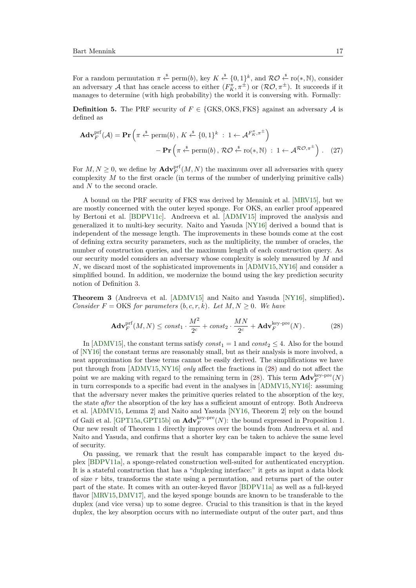For a random permutation  $\pi \stackrel{\$}{\leftarrow} \text{perm}(b)$ , key  $K \stackrel{\$}{\leftarrow} \{0,1\}^k$ , and  $\mathcal{RO} \stackrel{\$}{\leftarrow} \text{ro}(*, \mathbb{N})$ , consider an adversary A that has oracle access to either  $(F_K^{\pi}, \pi^{\pm})$  or  $(\mathcal{RO}, \pi^{\pm})$ . It succeeds if it manages to determine (with high probability) the world it is conversing with. Formally:

**Definition 5.** The PRF security of  $F \in \{GKS, OKS, FKS\}$  against an adversary A is defined as

$$
\mathbf{Adv}_{F}^{\text{prf}}(\mathcal{A}) = \mathbf{Pr}\left(\pi \stackrel{\text{s}}{\leftarrow} \text{perm}(b), K \stackrel{\text{s}}{\leftarrow} \{0, 1\}^{k} : 1 \leftarrow \mathcal{A}^{F_{K}^{\pi}, \pi^{\pm}}\right) \n- \mathbf{Pr}\left(\pi \stackrel{\text{s}}{\leftarrow} \text{perm}(b), \mathcal{RO} \stackrel{\text{s}}{\leftarrow} \text{ro}(*, \mathbb{N}) : 1 \leftarrow \mathcal{A}^{\mathcal{RO}, \pi^{\pm}}\right). (27)
$$

For  $M, N \geq 0$ , we define by  $\mathbf{Adv}_{F}^{\text{prf}}(M, N)$  the maximum over all adversaries with query complexity *M* to the first oracle (in terms of the number of underlying primitive calls) and *N* to the second oracle.

A bound on the PRF security of FKS was derived by Mennink et al. [\[MRV15\]](#page-20-7), but we are mostly concerned with the outer keyed sponge. For OKS, an earlier proof appeared by Bertoni et al. [\[BDPV11c\]](#page-18-2). Andreeva et al. [\[ADMV15\]](#page-18-3) improved the analysis and generalized it to multi-key security. Naito and Yasuda [\[NY16\]](#page-20-6) derived a bound that is independent of the message length. The improvements in these bounds come at the cost of defining extra security parameters, such as the multiplicity, the number of oracles, the number of construction queries, and the maximum length of each construction query. As our security model considers an adversary whose complexity is solely measured by *M* and *N*, we discard most of the sophisticated improvements in [\[ADMV15,](#page-18-3) [NY16\]](#page-20-6) and consider a simplified bound. In addition, we modernize the bound using the key prediction security notion of Definition [3.](#page-8-5)

<span id="page-16-1"></span>**Theorem 3** (Andreeva et al. [\[ADMV15\]](#page-18-3) and Naito and Yasuda [\[NY16\]](#page-20-6), simplified)**.** *Consider*  $F = OKS$  *for parameters*  $(b, c, r, k)$ *. Let*  $M, N \geq 0$ *. We have* 

<span id="page-16-0"></span>
$$
\mathbf{Adv}_{F}^{\text{prf}}(M,N) \leq const_1 \cdot \frac{M^2}{2^c} + const_2 \cdot \frac{MN}{2^c} + \mathbf{Adv}_{F}^{\text{key-pre}}(N). \tag{28}
$$

In [\[ADMV15\]](#page-18-3), the constant terms satisfy  $const_1 = 1$  and  $const_2 \leq 4$ . Also for the bound of [\[NY16\]](#page-20-6) the constant terms are reasonably small, but as their analysis is more involved, a neat approximation for these terms cannot be easily derived. The simplifications we have put through from [\[ADMV15,](#page-18-3)[NY16\]](#page-20-6) *only* affect the fractions in [\(28\)](#page-16-0) and do not affect the point we are making with regard to the remaining term in [\(28\)](#page-16-0). This term  $\mathbf{Adv}_{F}^{\text{key-pre}}(N)$ in turn corresponds to a specific bad event in the analyses in [\[ADMV15,](#page-18-3) [NY16\]](#page-20-6): assuming that the adversary never makes the primitive queries related to the absorption of the key, the state *after* the absorption of the key has a sufficient amount of entropy. Both Andreeva et al. [\[ADMV15,](#page-18-3) Lemma 2] and Naito and Yasuda [\[NY16,](#page-20-6) Theorem 2] rely on the bound of Gaži et al. [\[GPT15a,](#page-19-6) [GPT15b\]](#page-19-8) on  $\text{Adv}_{F}^{\text{key-pre}}(N)$ : the bound expressed in Proposition [1.](#page-8-0) Our new result of Theorem [1](#page-9-0) directly improves over the bounds from Andreeva et al. and Naito and Yasuda, and confirms that a shorter key can be taken to achieve the same level of security.

On passing, we remark that the result has comparable impact to the keyed duplex [\[BDPV11a\]](#page-18-5), a sponge-related construction well-suited for authenticated encryption. It is a stateful construction that has a "duplexing interface:" it gets as input a data block of size *r* bits, transforms the state using a permutation, and returns part of the outer part of the state. It comes with an outer-keyed flavor [\[BDPV11a\]](#page-18-5) as well as a full-keyed flavor [\[MRV15,](#page-20-7)[DMV17\]](#page-19-7), and the keyed sponge bounds are known to be transferable to the duplex (and vice versa) up to some degree. Crucial to this transition is that in the keyed duplex, the key absorption occurs with no intermediate output of the outer part, and thus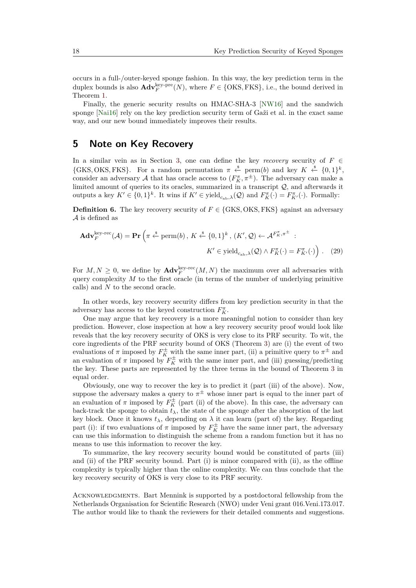occurs in a full-/outer-keyed sponge fashion. In this way, the key prediction term in the duplex bounds is also  $\text{Adv}_{F}^{\text{key-pre}}(N)$ , where  $F \in \{OKS, FKS\}$ , i.e., the bound derived in Theorem [1.](#page-9-0)

Finally, the generic security results on HMAC-SHA-3 [\[NW16\]](#page-20-11) and the sandwich sponge [\[Nai16\]](#page-20-12) rely on the key prediction security term of Gaži et al. in the exact same way, and our new bound immediately improves their results.

# <span id="page-17-0"></span>**5 Note on Key Recovery**

In a similar vein as in Section [3,](#page-7-0) one can define the key *recovery* security of  $F \in$  $\{GKS, OKS, FKS\}$ . For a random permutation  $\pi \stackrel{\$}{\leftarrow} \text{perm}(b)$  and key  $K \stackrel{\$}{\leftarrow} \{0,1\}^k$ , consider an adversary  $\mathcal A$  that has oracle access to  $(F_K^{\pi}, \pi^{\pm})$ . The adversary can make a limited amount of queries to its oracles, summarized in a transcript Q, and afterwards it outputs a key  $K' \in \{0,1\}^k$ . It wins if  $K' \in \text{yield}_{c_{ab},\lambda}(\mathcal{Q})$  and  $F_K^{\pi}(\cdot) = F_{K'}^{\pi}(\cdot)$ . Formally:

**Definition 6.** The key recovery security of  $F \in \{GKS, OKS, FKS\}$  against an adversary A is defined as

$$
\mathbf{Adv}_{F}^{\text{key-rec}}(\mathcal{A}) = \mathbf{Pr}\left(\pi \stackrel{\text{s}}{\leftarrow} \text{perm}(b), K \stackrel{\text{s}}{\leftarrow} \{0,1\}^{k}, (K', \mathcal{Q}) \leftarrow \mathcal{A}^{F_{K}^{\pi}, \pi^{\pm}} : \\ K' \in \text{yield}_{c_{ab}, \lambda}(\mathcal{Q}) \land F_{K}^{\pi}(\cdot) = F_{K'}^{\pi}(\cdot) \right). \tag{29}
$$

For  $M, N \geq 0$ , we define by  $\text{Adv}_{F}^{\text{key-rec}}(M, N)$  the maximum over all adversaries with query complexity *M* to the first oracle (in terms of the number of underlying primitive calls) and *N* to the second oracle.

In other words, key recovery security differs from key prediction security in that the adversary has access to the keyed construction  $F_K^{\pi}$ .

One may argue that key recovery is a more meaningful notion to consider than key prediction. However, close inspection at how a key recovery security proof would look like reveals that the key recovery security of OKS is very close to its PRF security. To wit, the core ingredients of the PRF security bound of OKS (Theorem [3\)](#page-16-1) are (i) the event of two evaluations of  $\pi$  imposed by  $F_K^{\pm}$  with the same inner part, (ii) a primitive query to  $\pi^{\pm}$  and an evaluation of  $\pi$  imposed by  $F_K^{\pm}$  with the same inner part, and (iii) guessing/predicting the key. These parts are represented by the three terms in the bound of Theorem [3](#page-16-1) in equal order.

Obviously, one way to recover the key is to predict it (part (iii) of the above). Now, suppose the adversary makes a query to  $\pi^{\pm}$  whose inner part is equal to the inner part of an evaluation of  $\pi$  imposed by  $F_K^{\pm}$  (part (ii) of the above). In this case, the adversary can back-track the sponge to obtain  $t_{\lambda}$ , the state of the sponge after the absorption of the last key block. Once it knows  $t_{\lambda}$ , depending on  $\lambda$  it can learn (part of) the key. Regarding part (i): if two evaluations of  $\pi$  imposed by  $F_K^{\pm}$  have the same inner part, the adversary can use this information to distinguish the scheme from a random function but it has no means to use this information to recover the key.

To summarize, the key recovery security bound would be constituted of parts (iii) and (ii) of the PRF security bound. Part (i) is minor compared with (ii), as the offline complexity is typically higher than the online complexity. We can thus conclude that the key recovery security of OKS is very close to its PRF security.

ACKNOWLEDGMENTS. Bart Mennink is supported by a postdoctoral fellowship from the Netherlands Organisation for Scientific Research (NWO) under Veni grant 016.Veni.173.017. The author would like to thank the reviewers for their detailed comments and suggestions.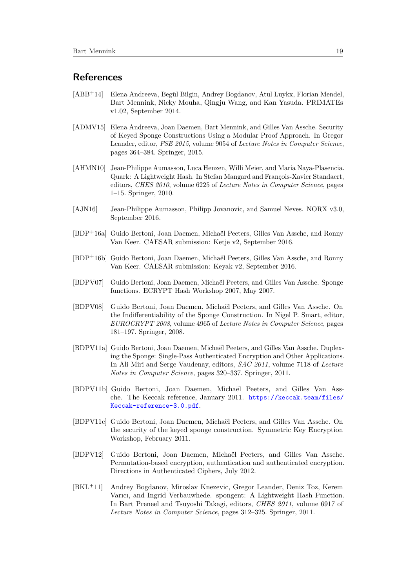# **References**

- <span id="page-18-12"></span>[ABB<sup>+</sup>14] Elena Andreeva, Begül Bilgin, Andrey Bogdanov, Atul Luykx, Florian Mendel, Bart Mennink, Nicky Mouha, Qingju Wang, and Kan Yasuda. PRIMATEs v1.02, September 2014.
- <span id="page-18-3"></span>[ADMV15] Elena Andreeva, Joan Daemen, Bart Mennink, and Gilles Van Assche. Security of Keyed Sponge Constructions Using a Modular Proof Approach. In Gregor Leander, editor, *FSE 2015*, volume 9054 of *Lecture Notes in Computer Science*, pages 364–384. Springer, 2015.
- <span id="page-18-10"></span>[AHMN10] Jean-Philippe Aumasson, Luca Henzen, Willi Meier, and María Naya-Plasencia. Quark: A Lightweight Hash. In Stefan Mangard and François-Xavier Standaert, editors, *CHES 2010*, volume 6225 of *Lecture Notes in Computer Science*, pages 1–15. Springer, 2010.
- <span id="page-18-8"></span>[AJN16] Jean-Philippe Aumasson, Philipp Jovanovic, and Samuel Neves. NORX v3.0, September 2016.
- <span id="page-18-6"></span>[BDP<sup>+</sup>16a] Guido Bertoni, Joan Daemen, Michaël Peeters, Gilles Van Assche, and Ronny Van Keer. CAESAR submission: Ketje v2, September 2016.
- <span id="page-18-7"></span>[BDP<sup>+</sup>16b] Guido Bertoni, Joan Daemen, Michaël Peeters, Gilles Van Assche, and Ronny Van Keer. CAESAR submission: Keyak v2, September 2016.
- <span id="page-18-0"></span>[BDPV07] Guido Bertoni, Joan Daemen, Michaël Peeters, and Gilles Van Assche. Sponge functions. ECRYPT Hash Workshop 2007, May 2007.
- <span id="page-18-1"></span>[BDPV08] Guido Bertoni, Joan Daemen, Michaël Peeters, and Gilles Van Assche. On the Indifferentiability of the Sponge Construction. In Nigel P. Smart, editor, *EUROCRYPT 2008*, volume 4965 of *Lecture Notes in Computer Science*, pages 181–197. Springer, 2008.
- <span id="page-18-5"></span>[BDPV11a] Guido Bertoni, Joan Daemen, Michaël Peeters, and Gilles Van Assche. Duplexing the Sponge: Single-Pass Authenticated Encryption and Other Applications. In Ali Miri and Serge Vaudenay, editors, *SAC 2011*, volume 7118 of *Lecture Notes in Computer Science*, pages 320–337. Springer, 2011.
- <span id="page-18-9"></span>[BDPV11b] Guido Bertoni, Joan Daemen, Michaël Peeters, and Gilles Van Assche. The Keccak reference, January 2011. [https://keccak.team/files/](https://keccak.team/files/Keccak-reference-3.0.pdf) [Keccak-reference-3.0.pdf](https://keccak.team/files/Keccak-reference-3.0.pdf).
- <span id="page-18-2"></span>[BDPV11c] Guido Bertoni, Joan Daemen, Michaël Peeters, and Gilles Van Assche. On the security of the keyed sponge construction. Symmetric Key Encryption Workshop, February 2011.
- <span id="page-18-4"></span>[BDPV12] Guido Bertoni, Joan Daemen, Michaël Peeters, and Gilles Van Assche. Permutation-based encryption, authentication and authenticated encryption. Directions in Authenticated Ciphers, July 2012.
- <span id="page-18-11"></span>[BKL<sup>+</sup>11] Andrey Bogdanov, Miroslav Knezevic, Gregor Leander, Deniz Toz, Kerem Varıcı, and Ingrid Verbauwhede. spongent: A Lightweight Hash Function. In Bart Preneel and Tsuyoshi Takagi, editors, *CHES 2011*, volume 6917 of *Lecture Notes in Computer Science*, pages 312–325. Springer, 2011.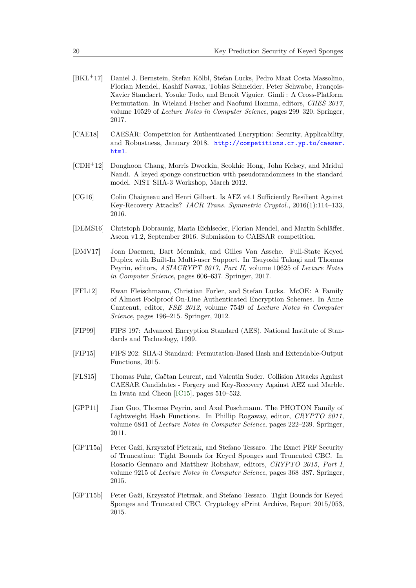- <span id="page-19-11"></span>[BKL<sup>+</sup>17] Daniel J. Bernstein, Stefan Kölbl, Stefan Lucks, Pedro Maat Costa Massolino, Florian Mendel, Kashif Nawaz, Tobias Schneider, Peter Schwabe, François-Xavier Standaert, Yosuke Todo, and Benoît Viguier. Gimli : A Cross-Platform Permutation. In Wieland Fischer and Naofumi Homma, editors, *CHES 2017*, volume 10529 of *Lecture Notes in Computer Science*, pages 299–320. Springer, 2017.
- <span id="page-19-9"></span>[CAE18] CAESAR: Competition for Authenticated Encryption: Security, Applicability, and Robustness, January 2018. [http://competitions.cr.yp.to/caesar.](http://competitions.cr.yp.to/caesar.html) [html](http://competitions.cr.yp.to/caesar.html).
- <span id="page-19-5"></span>[CDH<sup>+</sup>12] Donghoon Chang, Morris Dworkin, Seokhie Hong, John Kelsey, and Mridul Nandi. A keyed sponge construction with pseudorandomness in the standard model. NIST SHA-3 Workshop, March 2012.
- <span id="page-19-3"></span>[CG16] Colin Chaigneau and Henri Gilbert. Is AEZ v4.1 Sufficiently Resilient Against Key-Recovery Attacks? *IACR Trans. Symmetric Cryptol.*, 2016(1):114–133, 2016.
- <span id="page-19-10"></span>[DEMS16] Christoph Dobraunig, Maria Eichlseder, Florian Mendel, and Martin Schläffer. Ascon v1.2, September 2016. Submission to CAESAR competition.
- <span id="page-19-7"></span>[DMV17] Joan Daemen, Bart Mennink, and Gilles Van Assche. Full-State Keyed Duplex with Built-In Multi-user Support. In Tsuyoshi Takagi and Thomas Peyrin, editors, *ASIACRYPT 2017, Part II*, volume 10625 of *Lecture Notes in Computer Science*, pages 606–637. Springer, 2017.
- <span id="page-19-1"></span>[FFL12] Ewan Fleischmann, Christian Forler, and Stefan Lucks. McOE: A Family of Almost Foolproof On-Line Authenticated Encryption Schemes. In Anne Canteaut, editor, *FSE 2012*, volume 7549 of *Lecture Notes in Computer Science*, pages 196–215. Springer, 2012.
- <span id="page-19-0"></span>[FIP99] FIPS 197: Advanced Encryption Standard (AES). National Institute of Standards and Technology, 1999.
- <span id="page-19-4"></span>[FIP15] FIPS 202: SHA-3 Standard: Permutation-Based Hash and Extendable-Output Functions, 2015.
- <span id="page-19-2"></span>[FLS15] Thomas Fuhr, Gaëtan Leurent, and Valentin Suder. Collision Attacks Against CAESAR Candidates - Forgery and Key-Recovery Against AEZ and Marble. In Iwata and Cheon [\[IC15\]](#page-20-15), pages 510–532.
- <span id="page-19-12"></span>[GPP11] Jian Guo, Thomas Peyrin, and Axel Poschmann. The PHOTON Family of Lightweight Hash Functions. In Phillip Rogaway, editor, *CRYPTO 2011*, volume 6841 of *Lecture Notes in Computer Science*, pages 222–239. Springer, 2011.
- <span id="page-19-6"></span>[GPT15a] Peter Gaži, Krzysztof Pietrzak, and Stefano Tessaro. The Exact PRF Security of Truncation: Tight Bounds for Keyed Sponges and Truncated CBC. In Rosario Gennaro and Matthew Robshaw, editors, *CRYPTO 2015, Part I*, volume 9215 of *Lecture Notes in Computer Science*, pages 368–387. Springer, 2015.
- <span id="page-19-8"></span>[GPT15b] Peter Gaži, Krzysztof Pietrzak, and Stefano Tessaro. Tight Bounds for Keyed Sponges and Truncated CBC. Cryptology ePrint Archive, Report 2015/053, 2015.